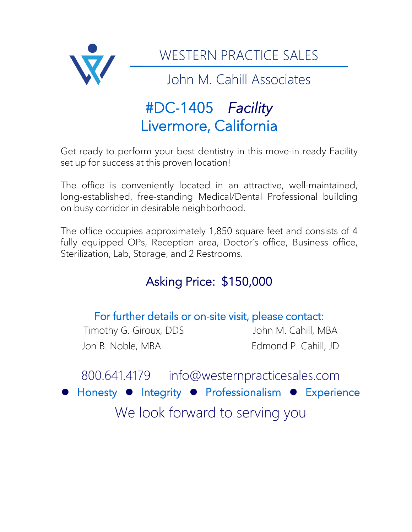

# #DC-1405 *Facility*  Livermore, California

Get ready to perform your best dentistry in this move-in ready Facility set up for success at this proven location!

The office is conveniently located in an attractive, well-maintained, long-established, free-standing Medical/Dental Professional building on busy corridor in desirable neighborhood.

The office occupies approximately 1,850 square feet and consists of 4 fully equipped OPs, Reception area, Doctor's office, Business office, Sterilization, Lab, Storage, and 2 Restrooms.

## Asking Price: \$150,000

### For further details or on-site visit, please contact: Timothy G. Giroux, DDS John M. Cahill, MBA Jon B. Noble, MBA Edmond P. Cahill, JD

800.641.4179 info@westernpracticesales.com ⚫ Honesty ⚫ Integrity ⚫ Professionalism ⚫ Experience We look forward to serving you